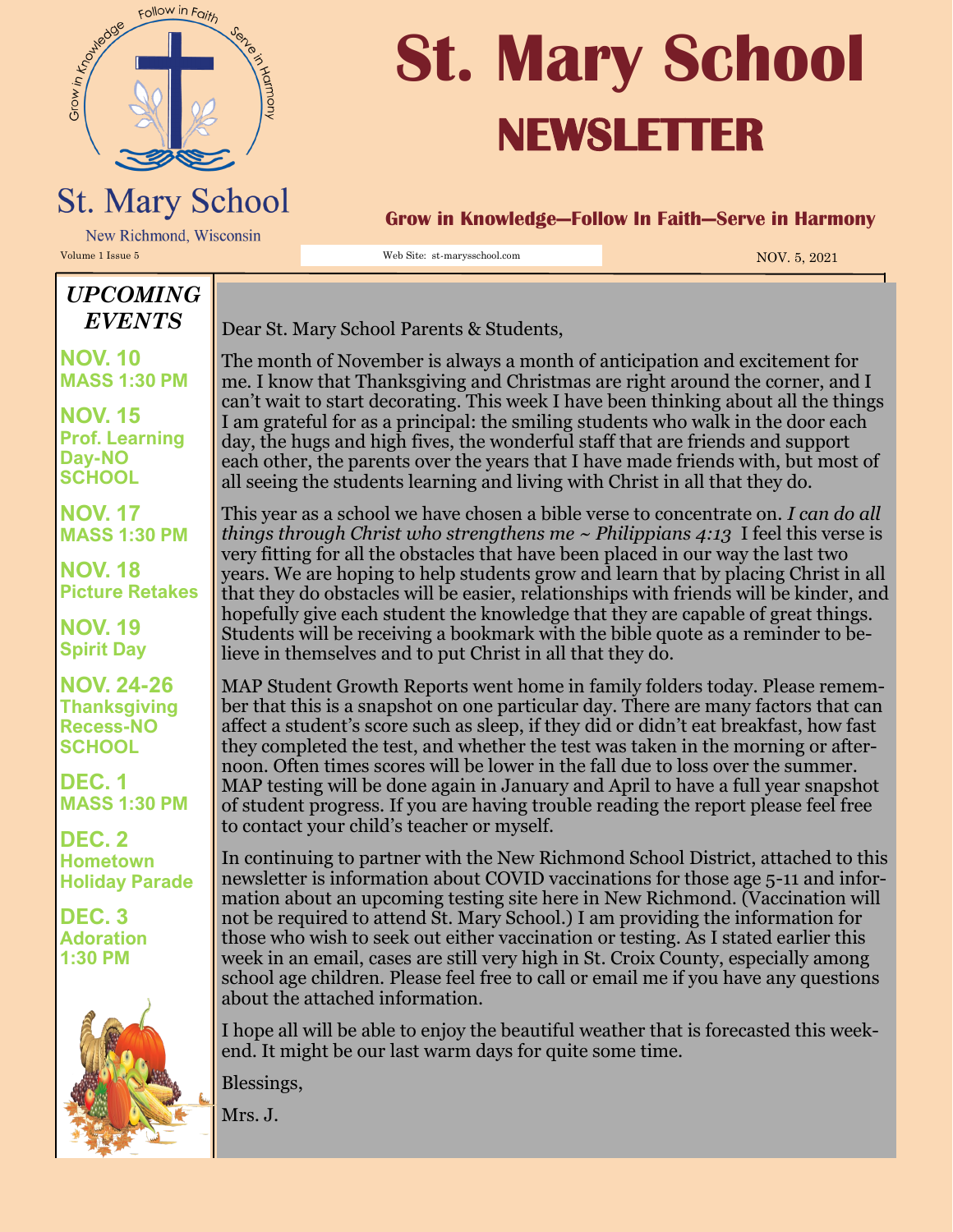

## **St. Mary School NEWSLETTER**

## **St. Mary School** New Richmond, Wisconsin

Volume 1 Issue 5 NOV. 5, 2021

**Grow in Knowledge—Follow In Faith—Serve in Harmony**

## *UPCOMING EVENTS*

**NOV. 10 MASS 1:30 PM**

**NOV. 15 Prof. Learning Day-NO SCHOOL**

**NOV. 17 MASS 1:30 PM**

**NOV. 18 Picture Retakes**

**NOV. 19 Spirit Day**

**NOV. 24-26 Thanksgiving Recess-NO SCHOOL**

**DEC. 1 MASS 1:30 PM**

**DEC. 2 Hometown Holiday Parade**

**DEC. 3 Adoration 1:30 PM**



Dear St. Mary School Parents & Students,

The month of November is always a month of anticipation and excitement for me. I know that Thanksgiving and Christmas are right around the corner, and I can't wait to start decorating. This week I have been thinking about all the things I am grateful for as a principal: the smiling students who walk in the door each day, the hugs and high fives, the wonderful staff that are friends and support each other, the parents over the years that I have made friends with, but most of all seeing the students learning and living with Christ in all that they do.

This year as a school we have chosen a bible verse to concentrate on. *I can do all things through Christ who strengthens me ~ Philippians 4:13* I feel this verse is very fitting for all the obstacles that have been placed in our way the last two years. We are hoping to help students grow and learn that by placing Christ in all that they do obstacles will be easier, relationships with friends will be kinder, and hopefully give each student the knowledge that they are capable of great things. Students will be receiving a bookmark with the bible quote as a reminder to believe in themselves and to put Christ in all that they do.

MAP Student Growth Reports went home in family folders today. Please remember that this is a snapshot on one particular day. There are many factors that can affect a student's score such as sleep, if they did or didn't eat breakfast, how fast they completed the test, and whether the test was taken in the morning or afternoon. Often times scores will be lower in the fall due to loss over the summer. MAP testing will be done again in January and April to have a full year snapshot of student progress. If you are having trouble reading the report please feel free to contact your child's teacher or myself.

In continuing to partner with the New Richmond School District, attached to this newsletter is information about COVID vaccinations for those age 5-11 and information about an upcoming testing site here in New Richmond. (Vaccination will not be required to attend St. Mary School.) I am providing the information for those who wish to seek out either vaccination or testing. As I stated earlier this week in an email, cases are still very high in St. Croix County, especially among school age children. Please feel free to call or email me if you have any questions about the attached information.

I hope all will be able to enjoy the beautiful weather that is forecasted this weekend. It might be our last warm days for quite some time.

Blessings,

Mrs. J.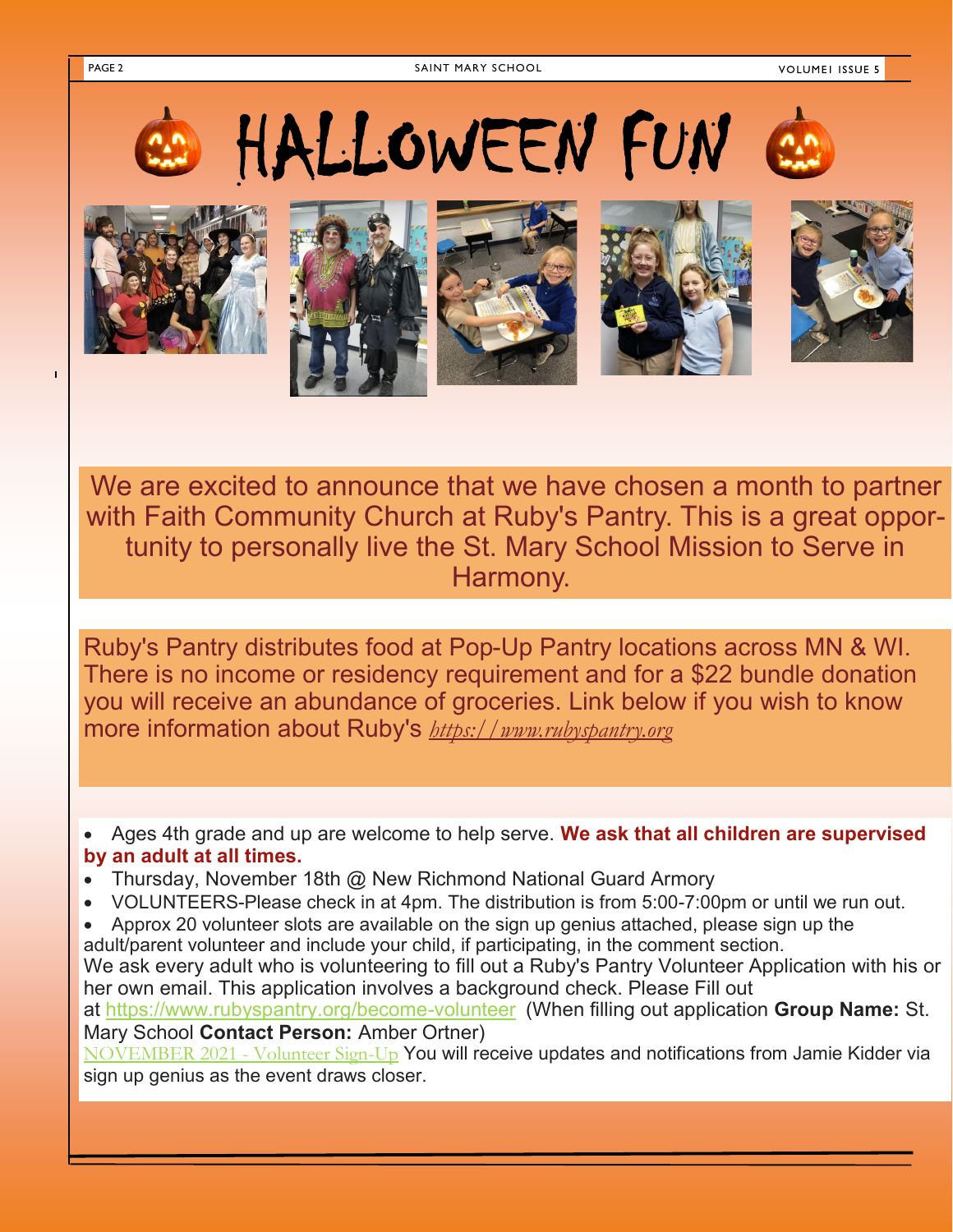PAGE 2 SAINT MARY SCHOOL



We are excited to announce that we have chosen a month to partner with Faith Community Church at Ruby's Pantry. This is a great opportunity to personally live the St. Mary School Mission to Serve in Harmony.

Ruby's Pantry distributes food at Pop-Up Pantry locations across MN & WI. There is no income or residency requirement and for a \$22 bundle donation you will receive an abundance of groceries. Link below if you wish to know more information about Ruby's *[https://www.rubyspantry.org](https://www.rubyspantry.org/)*

• Ages 4th grade and up are welcome to help serve. **We ask that all children are supervised by an adult at all times.**

- Thursday, November 18th @ New Richmond National Guard Armory
- VOLUNTEERS-Please check in at 4pm. The distribution is from 5:00-7:00pm or until we run out.
- Approx 20 volunteer slots are available on the sign up genius attached, please sign up the adult/parent volunteer and include your child, if participating, in the comment section.

We ask every adult who is volunteering to fill out a Ruby's Pantry Volunteer Application with his or her own email. This application involves a background check. Please Fill out at [https://www.rubyspantry.org/become](https://www.rubyspantry.org/become-volunteer)-volunteer (When filling out application **Group Name:** St.

Mary School **Contact Person:** Amber Ortner)

[NOVEMBER 2021 -](https://www.signupgenius.com/go/10C0D4BAAAE2CABFBCE9-november2) Volunteer Sign-Up You will receive updates and notifications from Jamie Kidder via sign up genius as the event draws closer.